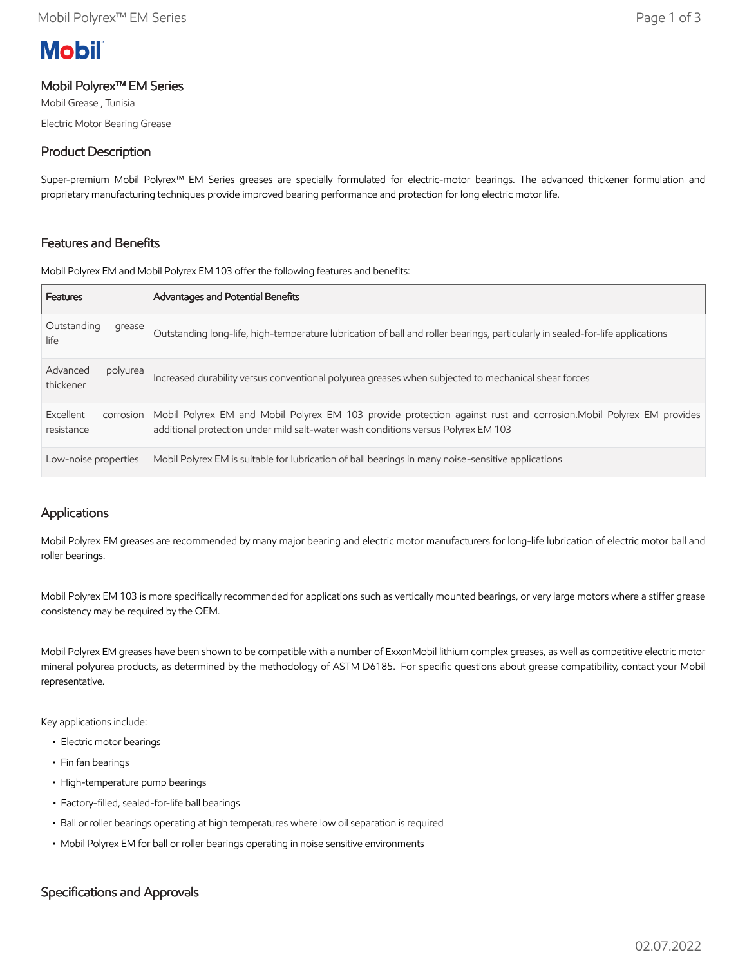# **Mobil**

#### Mobil Polyrex™ EM Series

Mobil Grease , Tunisia Electric Motor Bearing Grease

## Product Description

Super-premium Mobil Polyrex™ EM Series greases are specially formulated for electric-motor bearings. The advanced thickener formulation and proprietary manufacturing techniques provide improved bearing performance and protection for long electric motor life.

## Features and Benefits

Mobil Polyrex EM and Mobil Polyrex EM 103 offer the following features and benefits:

| <b>Features</b>                      | <b>Advantages and Potential Benefits</b>                                                                                                                                                                |
|--------------------------------------|---------------------------------------------------------------------------------------------------------------------------------------------------------------------------------------------------------|
| Outstanding<br>grease<br>life        | Outstanding long-life, high-temperature lubrication of ball and roller bearings, particularly in sealed-for-life applications                                                                           |
| Advanced<br>polyurea<br>thickener    | Increased durability versus conventional polyurea greases when subjected to mechanical shear forces                                                                                                     |
| Excellent<br>corrosion<br>resistance | Mobil Polyrex EM and Mobil Polyrex EM 103 provide protection against rust and corrosion. Mobil Polyrex EM provides<br>additional protection under mild salt-water wash conditions versus Polyrex EM 103 |
| Low-noise properties                 | Mobil Polyrex EM is suitable for lubrication of ball bearings in many noise-sensitive applications                                                                                                      |

## Applications

Mobil Polyrex EM greases are recommended by many major bearing and electric motor manufacturers for long-life lubrication of electric motor ball and roller bearings.

Mobil Polyrex EM 103 is more specifically recommended for applications such as vertically mounted bearings, or very large motors where a stiffer grease consistency may be required by the OEM.

Mobil Polyrex EM greases have been shown to be compatible with a number of ExxonMobil lithium complex greases, as well as competitive electric motor mineral polyurea products, as determined by the methodology of ASTM D6185. For specific questions about grease compatibility, contact your Mobil representative.

Key applications include:

- Electric motor bearings
- Fin fan bearings
- High-temperature pump bearings
- Factory-filled, sealed-for-life ball bearings
- Ball or roller bearings operating at high temperatures where low oil separation is required
- Mobil Polyrex EM for ball or roller bearings operating in noise sensitive environments

## Specifications and Approvals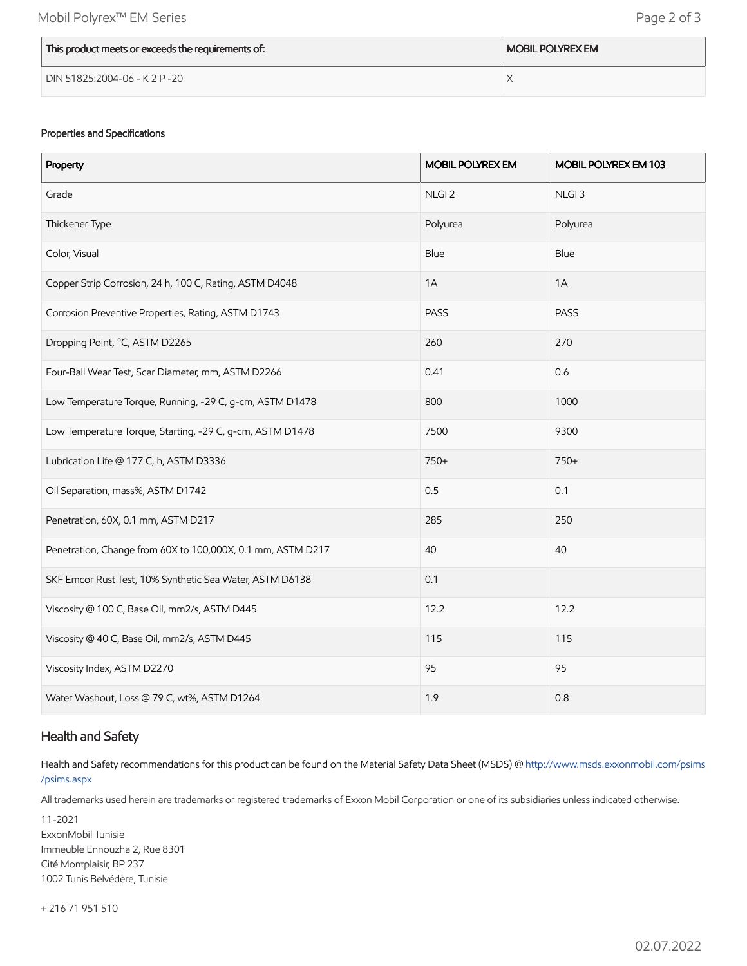| This product meets or exceeds the requirements of: | <b>MOBIL POLYREX EM</b> |
|----------------------------------------------------|-------------------------|
| DIN 51825:2004-06 - K 2 P -20                      |                         |

#### Properties and Specifications

| Property                                                    | <b>MOBIL POLYREX EM</b> | <b>MOBIL POLYREX EM 103</b> |
|-------------------------------------------------------------|-------------------------|-----------------------------|
| Grade                                                       | NLGI <sub>2</sub>       | NLGI <sub>3</sub>           |
| Thickener Type                                              | Polyurea                | Polyurea                    |
| Color, Visual                                               | Blue                    | Blue                        |
| Copper Strip Corrosion, 24 h, 100 C, Rating, ASTM D4048     | 1A                      | 1A                          |
| Corrosion Preventive Properties, Rating, ASTM D1743         | PASS                    | PASS                        |
| Dropping Point, °C, ASTM D2265                              | 260                     | 270                         |
| Four-Ball Wear Test, Scar Diameter, mm, ASTM D2266          | 0.41                    | 0.6                         |
| Low Temperature Torque, Running, -29 C, g-cm, ASTM D1478    | 800                     | 1000                        |
| Low Temperature Torque, Starting, -29 C, g-cm, ASTM D1478   | 7500                    | 9300                        |
| Lubrication Life @ 177 C, h, ASTM D3336                     | 750+                    | 750+                        |
| Oil Separation, mass%, ASTM D1742                           | 0.5                     | 0.1                         |
| Penetration, 60X, 0.1 mm, ASTM D217                         | 285                     | 250                         |
| Penetration, Change from 60X to 100,000X, 0.1 mm, ASTM D217 | 40                      | 40                          |
| SKF Emcor Rust Test, 10% Synthetic Sea Water, ASTM D6138    | 0.1                     |                             |
| Viscosity @ 100 C, Base Oil, mm2/s, ASTM D445               | 12.2                    | 12.2                        |
| Viscosity @ 40 C, Base Oil, mm2/s, ASTM D445                | 115                     | 115                         |
| Viscosity Index, ASTM D2270                                 | 95                      | 95                          |
| Water Washout, Loss @ 79 C, wt%, ASTM D1264                 | 1.9                     | 0.8                         |

## Health and Safety

Health and Safety recommendations for this product can be found on the Material Safety Data Sheet (MSDS) @ [http://www.msds.exxonmobil.com/psims](http://www.msds.exxonmobil.com/psims/psims.aspx) /psims.aspx

All trademarks used herein are trademarks or registered trademarks of Exxon Mobil Corporation or one of its subsidiaries unless indicated otherwise.

11-2021 ExxonMobil Tunisie Immeuble Ennouzha 2, Rue 8301 Cité Montplaisir, BP 237 1002 Tunis Belvédère, Tunisie

+ 216 71 951 510